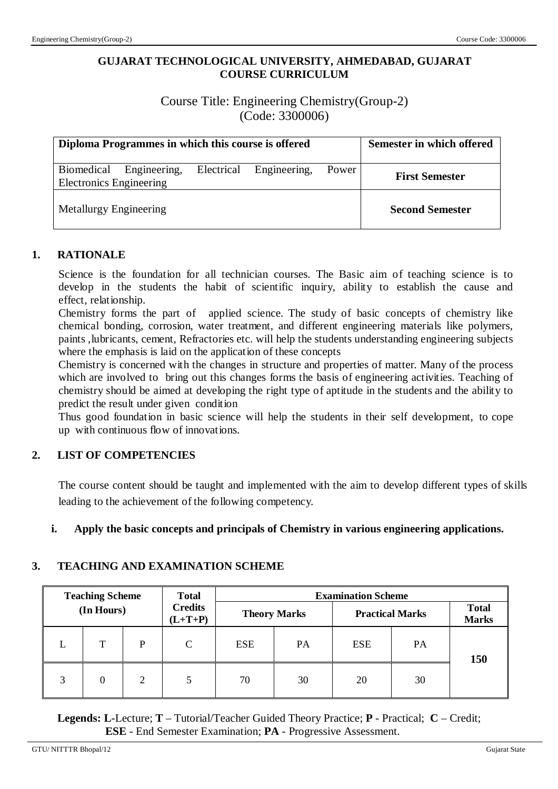## **GUJARAT TECHNOLOGICAL UNIVERSITY, AHMEDABAD, GUJARAT COURSE CURRICULUM**

Course Title: Engineering Chemistry(Group-2) (Code: 3300006)

| Diploma Programmes in which this course is offered           | Semester in which offered |
|--------------------------------------------------------------|---------------------------|
| Engineering,<br>Biomedical<br><b>Electronics Engineering</b> | <b>First Semester</b>     |
| Metallurgy Engineering                                       | <b>Second Semester</b>    |

## **1. RATIONALE**

Science is the foundation for all technician courses. The Basic aim of teaching science is to develop in the students the habit of scientific inquiry, ability to establish the cause and effect, relationship.

Chemistry forms the part of applied science. The study of basic concepts of chemistry like chemical bonding, corrosion, water treatment, and different engineering materials like polymers, paints ,lubricants, cement, Refractories etc. will help the students understanding engineering subjects where the emphasis is laid on the application of these concepts

Chemistry is concerned with the changes in structure and properties of matter. Many of the process which are involved to bring out this changes forms the basis of engineering activities. Teaching of chemistry should be aimed at developing the right type of aptitude in the students and the ability to predict the result under given condition

Thus good foundation in basic science will help the students in their self development, to cope up with continuous flow of innovations.

## **2. LIST OF COMPETENCIES**

The course content should be taught and implemented with the aim to develop different types of skills leading to the achievement of the following competency.

## **i. Apply the basic concepts and principals of Chemistry in various engineering applications.**

## **3. TEACHING AND EXAMINATION SCHEME**

|   | <b>Teaching Scheme</b> |   | <b>Total</b>                | <b>Examination Scheme</b> |           |                        |           |                              |
|---|------------------------|---|-----------------------------|---------------------------|-----------|------------------------|-----------|------------------------------|
|   | (In Hours)             |   | <b>Credits</b><br>$(L+T+P)$ | <b>Theory Marks</b>       |           | <b>Practical Marks</b> |           | <b>Total</b><br><b>Marks</b> |
|   | T                      | P | C                           | <b>ESE</b>                | <b>PA</b> | <b>ESE</b>             | <b>PA</b> | 150                          |
| 3 |                        | 2 |                             | 70                        | 30        | 20                     | 30        |                              |

 **Legends: L**-Lecture; **T** – Tutorial/Teacher Guided Theory Practice; **P** - Practical; **C** – Credit; **ESE** - End Semester Examination; **PA** - Progressive Assessment.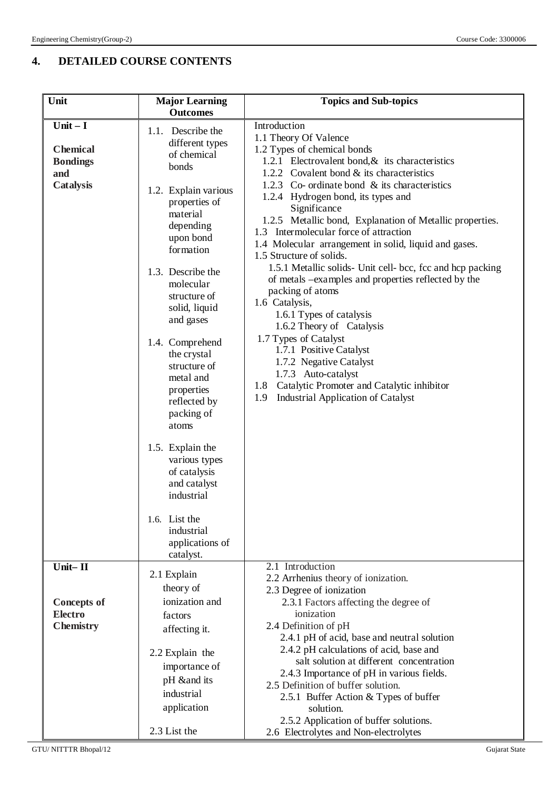# **4. DETAILED COURSE CONTENTS**

| Unit                                 | <b>Major Learning</b> | <b>Topics and Sub-topics</b>                                                      |  |  |  |
|--------------------------------------|-----------------------|-----------------------------------------------------------------------------------|--|--|--|
|                                      | <b>Outcomes</b>       |                                                                                   |  |  |  |
| $Unit - I$                           | 1.1. Describe the     | Introduction                                                                      |  |  |  |
|                                      | different types       | 1.1 Theory Of Valence                                                             |  |  |  |
| <b>Chemical</b>                      | of chemical           | 1.2 Types of chemical bonds                                                       |  |  |  |
| <b>Bondings</b>                      | bonds                 | 1.2.1 Electrovalent bond, $\&$ its characteristics                                |  |  |  |
| and                                  |                       | 1.2.2 Covalent bond $&$ its characteristics                                       |  |  |  |
| Catalysis                            | 1.2. Explain various  | 1.2.3 Co- ordinate bond & its characteristics                                     |  |  |  |
|                                      | properties of         | 1.2.4 Hydrogen bond, its types and                                                |  |  |  |
|                                      | material              | Significance                                                                      |  |  |  |
|                                      | depending             | 1.2.5 Metallic bond, Explanation of Metallic properties.                          |  |  |  |
|                                      | upon bond             | 1.3 Intermolecular force of attraction                                            |  |  |  |
|                                      | formation             | 1.4 Molecular arrangement in solid, liquid and gases.<br>1.5 Structure of solids. |  |  |  |
|                                      |                       | 1.5.1 Metallic solids- Unit cell- bcc, fcc and hcp packing                        |  |  |  |
|                                      | 1.3. Describe the     | of metals -examples and properties reflected by the                               |  |  |  |
|                                      | molecular             | packing of atoms                                                                  |  |  |  |
|                                      | structure of          | 1.6 Catalysis,                                                                    |  |  |  |
|                                      | solid, liquid         | 1.6.1 Types of catalysis                                                          |  |  |  |
|                                      | and gases             | 1.6.2 Theory of Catalysis                                                         |  |  |  |
|                                      | 1.4. Comprehend       | 1.7 Types of Catalyst                                                             |  |  |  |
|                                      | the crystal           | 1.7.1 Positive Catalyst                                                           |  |  |  |
|                                      | structure of          | 1.7.2 Negative Catalyst                                                           |  |  |  |
|                                      | metal and             | 1.7.3 Auto-catalyst                                                               |  |  |  |
|                                      | properties            | 1.8 Catalytic Promoter and Catalytic inhibitor                                    |  |  |  |
|                                      | reflected by          | <b>Industrial Application of Catalyst</b><br>1.9                                  |  |  |  |
|                                      | packing of            |                                                                                   |  |  |  |
|                                      | atoms                 |                                                                                   |  |  |  |
|                                      | 1.5. Explain the      |                                                                                   |  |  |  |
|                                      | various types         |                                                                                   |  |  |  |
|                                      | of catalysis          |                                                                                   |  |  |  |
|                                      | and catalyst          |                                                                                   |  |  |  |
|                                      | industrial            |                                                                                   |  |  |  |
|                                      | 1.6. List the         |                                                                                   |  |  |  |
|                                      | industrial            |                                                                                   |  |  |  |
|                                      | applications of       |                                                                                   |  |  |  |
|                                      | catalyst.             |                                                                                   |  |  |  |
| Unit-II                              | 2.1 Explain           | 2.1 Introduction                                                                  |  |  |  |
|                                      | theory of             | 2.2 Arrhenius theory of ionization.                                               |  |  |  |
|                                      | ionization and        | 2.3 Degree of ionization<br>2.3.1 Factors affecting the degree of                 |  |  |  |
| <b>Concepts of</b><br><b>Electro</b> | factors               | ionization                                                                        |  |  |  |
| <b>Chemistry</b>                     |                       | 2.4 Definition of pH                                                              |  |  |  |
|                                      | affecting it.         | 2.4.1 pH of acid, base and neutral solution                                       |  |  |  |
|                                      |                       | 2.4.2 pH calculations of acid, base and                                           |  |  |  |
|                                      | 2.2 Explain the       | salt solution at different concentration                                          |  |  |  |
|                                      | importance of         | 2.4.3 Importance of pH in various fields.                                         |  |  |  |
|                                      | pH ∧ its              | 2.5 Definition of buffer solution.                                                |  |  |  |
|                                      | industrial            | 2.5.1 Buffer Action & Types of buffer                                             |  |  |  |
|                                      | application           | solution.                                                                         |  |  |  |
|                                      |                       | 2.5.2 Application of buffer solutions.                                            |  |  |  |
|                                      | 2.3 List the          | 2.6 Electrolytes and Non-electrolytes                                             |  |  |  |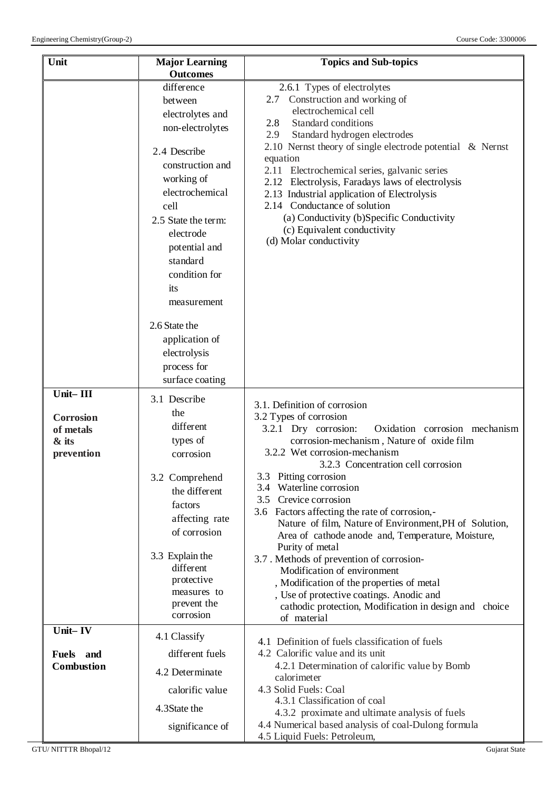| Unit                                                                                             | <b>Major Learning</b><br><b>Outcomes</b>                                                                                                                                                                                                                                                                                                | <b>Topics and Sub-topics</b>                                                                                                                                                                                                                                                                                                                                                                                                                                                                                                                                                                                                                                                                                                      |
|--------------------------------------------------------------------------------------------------|-----------------------------------------------------------------------------------------------------------------------------------------------------------------------------------------------------------------------------------------------------------------------------------------------------------------------------------------|-----------------------------------------------------------------------------------------------------------------------------------------------------------------------------------------------------------------------------------------------------------------------------------------------------------------------------------------------------------------------------------------------------------------------------------------------------------------------------------------------------------------------------------------------------------------------------------------------------------------------------------------------------------------------------------------------------------------------------------|
|                                                                                                  | difference<br>between<br>electrolytes and<br>non-electrolytes<br>2.4 Describe<br>construction and<br>working of<br>electrochemical<br>cell<br>2.5 State the term:<br>electrode<br>potential and<br>standard<br>condition for<br>its<br>measurement<br>2.6 State the<br>application of<br>electrolysis<br>process for<br>surface coating | 2.6.1 Types of electrolytes<br>Construction and working of<br>2.7<br>electrochemical cell<br>Standard conditions<br>2.8<br>2.9<br>Standard hydrogen electrodes<br>2.10 Nernst theory of single electrode potential $\&$ Nernst<br>equation<br>2.11<br>Electrochemical series, galvanic series<br>2.12 Electrolysis, Faradays laws of electrolysis<br>2.13 Industrial application of Electrolysis<br>2.14 Conductance of solution<br>(a) Conductivity (b)Specific Conductivity<br>(c) Equivalent conductivity<br>(d) Molar conductivity                                                                                                                                                                                            |
| $\overline{\text{Unit} - \text{III}}$<br><b>Corrosion</b><br>of metals<br>$\&$ its<br>prevention | 3.1 Describe<br>the<br>different<br>types of<br>corrosion<br>3.2 Comprehend<br>the different<br>factors<br>affecting rate<br>of corrosion<br>3.3 Explain the<br>different<br>protective<br>measures to<br>prevent the<br>corrosion                                                                                                      | 3.1. Definition of corrosion<br>3.2 Types of corrosion<br>3.2.1 Dry corrosion:<br>Oxidation corrosion mechanism<br>corrosion-mechanism, Nature of oxide film<br>3.2.2 Wet corrosion-mechanism<br>3.2.3 Concentration cell corrosion<br>3.3 Pitting corrosion<br>3.4 Waterline corrosion<br>3.5 Crevice corrosion<br>3.6 Factors affecting the rate of corrosion,-<br>Nature of film, Nature of Environment, PH of Solution,<br>Area of cathode anode and, Temperature, Moisture,<br>Purity of metal<br>3.7. Methods of prevention of corrosion-<br>Modification of environment<br>, Modification of the properties of metal<br>, Use of protective coatings. Anodic and<br>cathodic protection, Modification in design and choice |
| Unit-IV<br><b>Fuels</b><br>and<br><b>Combustion</b>                                              | 4.1 Classify<br>different fuels<br>4.2 Determinate<br>calorific value<br>4.3State the<br>significance of                                                                                                                                                                                                                                | of material<br>4.1 Definition of fuels classification of fuels<br>4.2 Calorific value and its unit<br>4.2.1 Determination of calorific value by Bomb<br>calorimeter<br>4.3 Solid Fuels: Coal<br>4.3.1 Classification of coal<br>4.3.2 proximate and ultimate analysis of fuels<br>4.4 Numerical based analysis of coal-Dulong formula<br>4.5 Liquid Fuels: Petroleum,                                                                                                                                                                                                                                                                                                                                                             |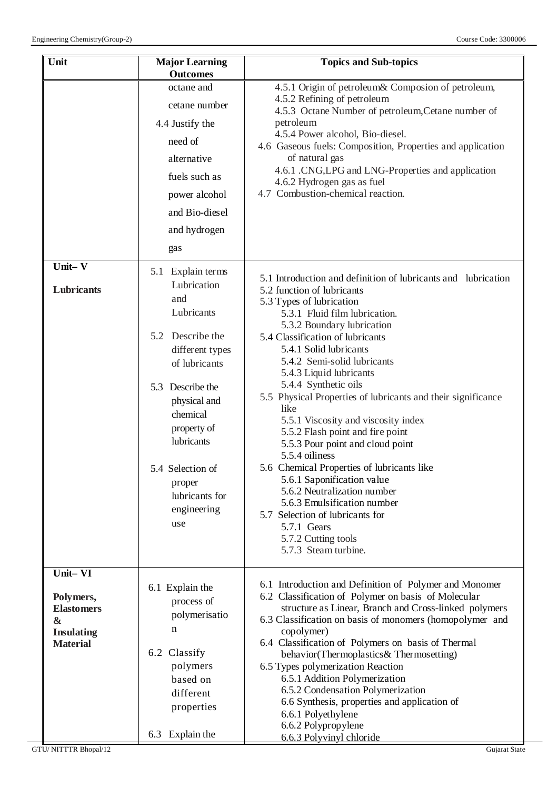|                                                                                             | <b>Outcomes</b>                                                                                                                                                                                                                                                                                                                                                                                                         | <b>Topics and Sub-topics</b>                                                                                                                                                                                                                                                                                                                                                                                                                                                                                                                                                                                                                                                                                                                                                                                                                                                                                                                                                                                                                                                                                                                                            |
|---------------------------------------------------------------------------------------------|-------------------------------------------------------------------------------------------------------------------------------------------------------------------------------------------------------------------------------------------------------------------------------------------------------------------------------------------------------------------------------------------------------------------------|-------------------------------------------------------------------------------------------------------------------------------------------------------------------------------------------------------------------------------------------------------------------------------------------------------------------------------------------------------------------------------------------------------------------------------------------------------------------------------------------------------------------------------------------------------------------------------------------------------------------------------------------------------------------------------------------------------------------------------------------------------------------------------------------------------------------------------------------------------------------------------------------------------------------------------------------------------------------------------------------------------------------------------------------------------------------------------------------------------------------------------------------------------------------------|
| Unit-V<br>Lubricants                                                                        | octane and<br>cetane number<br>4.4 Justify the<br>need of<br>alternative<br>fuels such as<br>power alcohol<br>and Bio-diesel<br>and hydrogen<br>gas<br>5.1 Explain terms<br>Lubrication<br>and<br>Lubricants<br>5.2 Describe the<br>different types<br>of lubricants<br>5.3 Describe the<br>physical and<br>chemical<br>property of<br>lubricants<br>5.4 Selection of<br>proper<br>lubricants for<br>engineering<br>use | 4.5.1 Origin of petroleum& Composion of petroleum,<br>4.5.2 Refining of petroleum<br>4.5.3 Octane Number of petroleum, Cetane number of<br>petroleum<br>4.5.4 Power alcohol, Bio-diesel.<br>4.6 Gaseous fuels: Composition, Properties and application<br>of natural gas<br>4.6.1 .CNG, LPG and LNG-Properties and application<br>4.6.2 Hydrogen gas as fuel<br>4.7 Combustion-chemical reaction.<br>5.1 Introduction and definition of lubricants and lubrication<br>5.2 function of lubricants<br>5.3 Types of lubrication<br>5.3.1 Fluid film lubrication.<br>5.3.2 Boundary lubrication<br>5.4 Classification of lubricants<br>5.4.1 Solid lubricants<br>5.4.2 Semi-solid lubricants<br>5.4.3 Liquid lubricants<br>5.4.4 Synthetic oils<br>5.5 Physical Properties of lubricants and their significance<br>like<br>5.5.1 Viscosity and viscosity index<br>5.5.2 Flash point and fire point<br>5.5.3 Pour point and cloud point<br>5.5.4 oiliness<br>5.6 Chemical Properties of lubricants like<br>5.6.1 Saponification value<br>5.6.2 Neutralization number<br>5.6.3 Emulsification number<br>5.7 Selection of lubricants for<br>5.7.1 Gears<br>5.7.2 Cutting tools |
| Unit-VI                                                                                     |                                                                                                                                                                                                                                                                                                                                                                                                                         | 5.7.3 Steam turbine.                                                                                                                                                                                                                                                                                                                                                                                                                                                                                                                                                                                                                                                                                                                                                                                                                                                                                                                                                                                                                                                                                                                                                    |
| Polymers,<br><b>Elastomers</b><br>$\boldsymbol{\&}$<br><b>Insulating</b><br><b>Material</b> | 6.1 Explain the<br>process of<br>polymerisatio<br>n<br>6.2 Classify<br>polymers<br>based on<br>different<br>properties<br>6.3 Explain the                                                                                                                                                                                                                                                                               | 6.1 Introduction and Definition of Polymer and Monomer<br>6.2 Classification of Polymer on basis of Molecular<br>structure as Linear, Branch and Cross-linked polymers<br>6.3 Classification on basis of monomers (homopolymer and<br>copolymer)<br>6.4 Classification of Polymers on basis of Thermal<br>behavior(Thermoplastics& Thermosetting)<br>6.5 Types polymerization Reaction<br>6.5.1 Addition Polymerization<br>6.5.2 Condensation Polymerization<br>6.6 Synthesis, properties and application of<br>6.6.1 Polyethylene<br>6.6.2 Polypropylene                                                                                                                                                                                                                                                                                                                                                                                                                                                                                                                                                                                                               |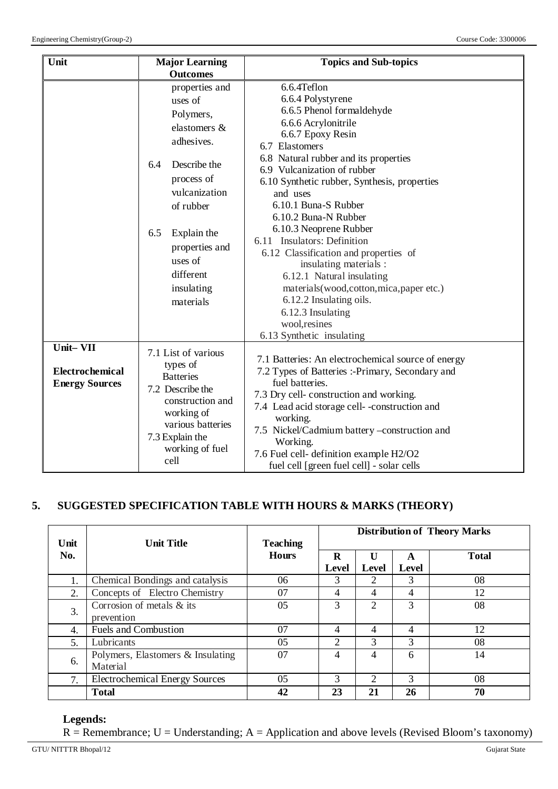| Unit<br><b>Major Learning</b>                        |                                                                                                                                                                                                                                    | <b>Topics and Sub-topics</b>                                                                                                                                                                                                                                                                                                                                                                                                                                                                                                                                                        |  |  |
|------------------------------------------------------|------------------------------------------------------------------------------------------------------------------------------------------------------------------------------------------------------------------------------------|-------------------------------------------------------------------------------------------------------------------------------------------------------------------------------------------------------------------------------------------------------------------------------------------------------------------------------------------------------------------------------------------------------------------------------------------------------------------------------------------------------------------------------------------------------------------------------------|--|--|
|                                                      | <b>Outcomes</b>                                                                                                                                                                                                                    |                                                                                                                                                                                                                                                                                                                                                                                                                                                                                                                                                                                     |  |  |
|                                                      | properties and<br>uses of<br>Polymers,<br>elastomers &<br>adhesives.<br>Describe the<br>6.4<br>process of<br>vulcanization<br>of rubber<br>Explain the<br>6.5<br>properties and<br>uses of<br>different<br>insulating<br>materials | 6.6.4Teflon<br>6.6.4 Polystyrene<br>6.6.5 Phenol formaldehyde<br>6.6.6 Acrylonitrile<br>6.6.7 Epoxy Resin<br>6.7 Elastomers<br>6.8 Natural rubber and its properties<br>6.9 Vulcanization of rubber<br>6.10 Synthetic rubber, Synthesis, properties<br>and uses<br>6.10.1 Buna-S Rubber<br>6.10.2 Buna-N Rubber<br>6.10.3 Neoprene Rubber<br>6.11 Insulators: Definition<br>6.12 Classification and properties of<br>insulating materials :<br>6.12.1 Natural insulating<br>materials(wood,cotton,mica,paper etc.)<br>6.12.2 Insulating oils.<br>6.12.3 Insulating<br>wool, resines |  |  |
| Unit-VII<br>Electrochemical<br><b>Energy Sources</b> | 7.1 List of various<br>types of<br><b>Batteries</b><br>7.2 Describe the<br>construction and<br>working of<br>various batteries<br>7.3 Explain the<br>working of fuel<br>cell                                                       | 6.13 Synthetic insulating<br>7.1 Batteries: An electrochemical source of energy<br>7.2 Types of Batteries :-Primary, Secondary and<br>fuel batteries.<br>7.3 Dry cell-construction and working.<br>7.4 Lead acid storage cell--construction and<br>working.<br>7.5 Nickel/Cadmium battery -construction and<br>Working.<br>7.6 Fuel cell- definition example H2/O2<br>fuel cell [green fuel cell] - solar cells                                                                                                                                                                     |  |  |

## **5. SUGGESTED SPECIFICATION TABLE WITH HOURS & MARKS (THEORY)**

| Unit | <b>Unit Title</b>                             | <b>Teaching</b><br><b>Hours</b> | <b>Distribution of Theory Marks</b> |                       |            |              |
|------|-----------------------------------------------|---------------------------------|-------------------------------------|-----------------------|------------|--------------|
| No.  |                                               |                                 | R<br>Level                          | $\mathbf{U}$<br>Level | A<br>Level | <b>Total</b> |
| 1.   | Chemical Bondings and catalysis               | 06                              | 3                                   | 2                     | 3          | 08           |
| 2.   | Concepts of Electro Chemistry                 | 07                              | 4                                   | 4                     | 4          | 12           |
| 3.   | Corrosion of metals & its<br>prevention       | 05                              | 3                                   | $\overline{2}$        | 3          | 08           |
| 4.   | <b>Fuels and Combustion</b>                   | 07                              | $\overline{4}$                      | 4                     | 4          | 12           |
| 5.   | Lubricants                                    | 0 <sub>5</sub>                  | $\overline{c}$                      | 3                     | 3          | 08           |
| 6.   | Polymers, Elastomers & Insulating<br>Material | 07                              | 4                                   | 4                     | 6          | 14           |
| 7.   | <b>Electrochemical Energy Sources</b>         | 05                              | 3                                   | $\mathfrak{D}$        | 3          | 08           |
|      | <b>Total</b>                                  | 42                              | 23                                  | 21                    | 26         | 70           |

## **Legends:**

 $R =$  Remembrance; U = Understanding; A = Application and above levels (Revised Bloom's taxonomy)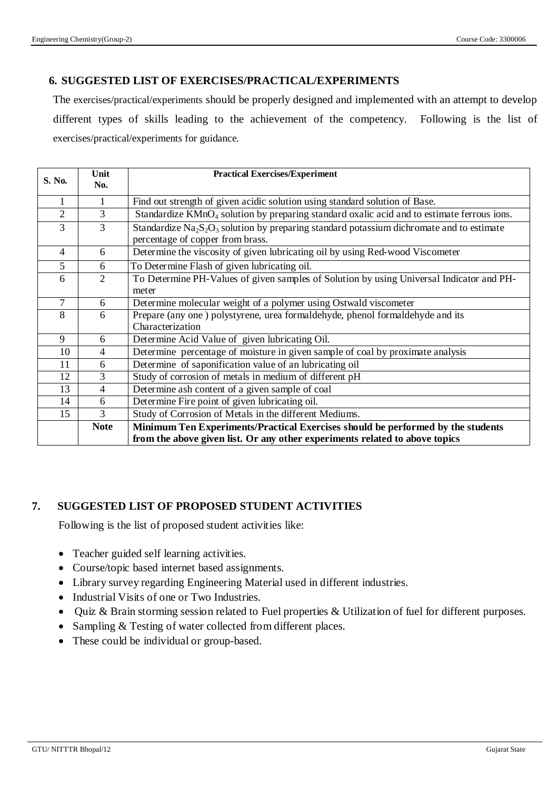## **6. SUGGESTED LIST OF EXERCISES/PRACTICAL/EXPERIMENTS**

The exercises/practical/experiments should be properly designed and implemented with an attempt to develop different types of skills leading to the achievement of the competency. Following is the list of exercises/practical/experiments for guidance.

| S. No.          | Unit<br>No.    | <b>Practical Exercises/Experiment</b>                                                                             |
|-----------------|----------------|-------------------------------------------------------------------------------------------------------------------|
|                 |                |                                                                                                                   |
|                 |                | Find out strength of given acidic solution using standard solution of Base.                                       |
| $\overline{2}$  | 3              | Standardize KMnO <sub>4</sub> solution by preparing standard oxalic acid and to estimate ferrous ions.            |
| 3               | 3              | Standardize $\text{Na}_2\text{S}_2\text{O}_3$ solution by preparing standard potassium dichromate and to estimate |
|                 |                | percentage of copper from brass.                                                                                  |
| $\overline{4}$  | 6              | Determine the viscosity of given lubricating oil by using Red-wood Viscometer                                     |
| $5\overline{)}$ | 6              | To Determine Flash of given lubricating oil.                                                                      |
| 6               | $\overline{2}$ | To Determine PH-Values of given samples of Solution by using Universal Indicator and PH-                          |
|                 |                | meter                                                                                                             |
| $\tau$          | 6              | Determine molecular weight of a polymer using Ostwald viscometer                                                  |
| 8               | 6              | Prepare (any one) polystyrene, urea formaldehyde, phenol formaldehyde and its                                     |
|                 |                | Characterization                                                                                                  |
| 9               | 6              | Determine Acid Value of given lubricating Oil.                                                                    |
| 10              | $\overline{4}$ | Determine percentage of moisture in given sample of coal by proximate analysis                                    |
| 11              | 6              | Determine of saponification value of an lubricating oil                                                           |
| 12              | 3              | Study of corrosion of metals in medium of different pH                                                            |
| 13              | 4              | Determine ash content of a given sample of coal                                                                   |
| 14              | 6              | Determine Fire point of given lubricating oil.                                                                    |
| 15              | 3              | Study of Corrosion of Metals in the different Mediums.                                                            |
|                 | <b>Note</b>    | Minimum Ten Experiments/Practical Exercises should be performed by the students                                   |
|                 |                | from the above given list. Or any other experiments related to above topics                                       |

## **7. SUGGESTED LIST OF PROPOSED STUDENT ACTIVITIES**

Following is the list of proposed student activities like:

- Teacher guided self learning activities.
- Course/topic based internet based assignments.
- Library survey regarding Engineering Material used in different industries.
- Industrial Visits of one or Two Industries.
- Quiz & Brain storming session related to Fuel properties & Utilization of fuel for different purposes.
- Sampling & Testing of water collected from different places.
- These could be individual or group-based.